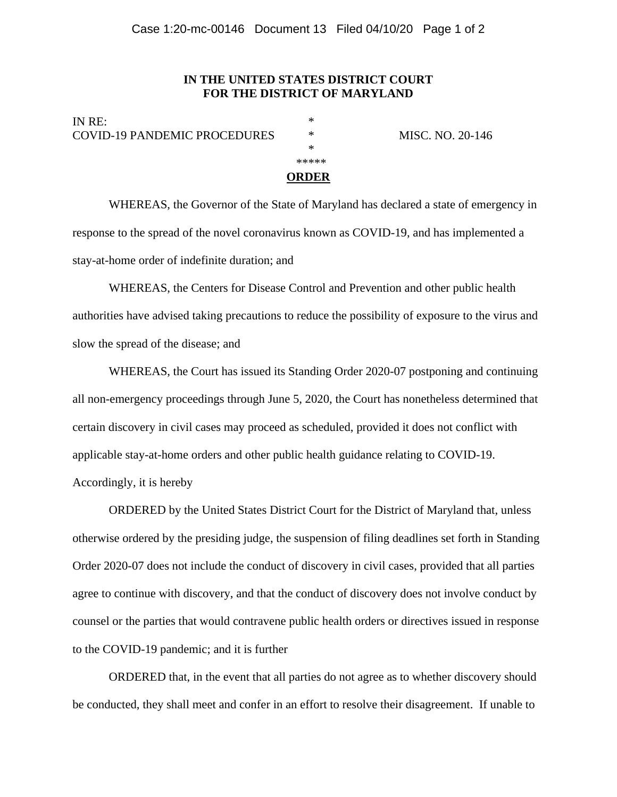## **IN THE UNITED STATES DISTRICT COURT FOR THE DISTRICT OF MARYLAND**

IN RE: COVID-19 PANDEMIC PROCEDURES \* MISC. NO. 20-146 \*

\*\*\*\*\*\*

## **ORDER**

 WHEREAS, the Governor of the State of Maryland has declared a state of emergency in response to the spread of the novel coronavirus known as COVID-19, and has implemented a stay-at-home order of indefinite duration; and

 WHEREAS, the Centers for Disease Control and Prevention and other public health authorities have advised taking precautions to reduce the possibility of exposure to the virus and slow the spread of the disease; and

 WHEREAS, the Court has issued its Standing Order 2020-07 postponing and continuing all non-emergency proceedings through June 5, 2020, the Court has nonetheless determined that certain discovery in civil cases may proceed as scheduled, provided it does not conflict with applicable stay-at-home orders and other public health guidance relating to COVID-19. Accordingly, it is hereby

 ORDERED by the United States District Court for the District of Maryland that, unless otherwise ordered by the presiding judge, the suspension of filing deadlines set forth in Standing Order 2020-07 does not include the conduct of discovery in civil cases, provided that all parties agree to continue with discovery, and that the conduct of discovery does not involve conduct by counsel or the parties that would contravene public health orders or directives issued in response to the COVID-19 pandemic; and it is further

ORDERED that, in the event that all parties do not agree as to whether discovery should be conducted, they shall meet and confer in an effort to resolve their disagreement. If unable to